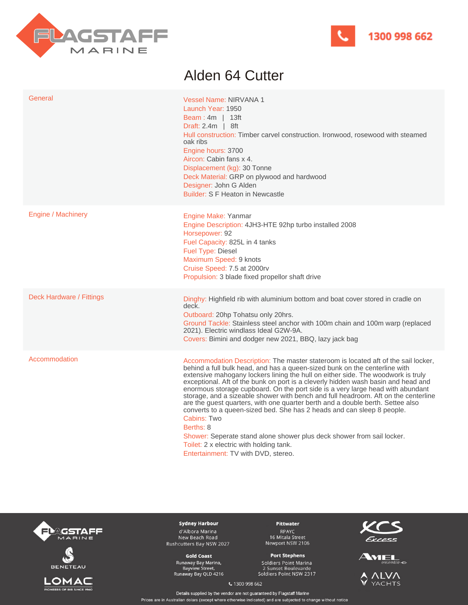



## Alden 64 Cutter

| General                  | <b>Vessel Name: NIRVANA 1</b><br>Launch Year: 1950<br>Beam: $4m$   13ft<br>Draft: $2.4m$   8ft<br>Hull construction: Timber carvel construction. Ironwood, rosewood with steamed<br>oak ribs<br>Engine hours: 3700<br>Aircon: Cabin fans x 4.<br>Displacement (kg): 30 Tonne<br>Deck Material: GRP on plywood and hardwood<br>Designer: John G Alden<br>Builder: S F Heaton in Newcastle                                                                                                                                                                                                                                                                                                                                                                                                                                                                                     |
|--------------------------|------------------------------------------------------------------------------------------------------------------------------------------------------------------------------------------------------------------------------------------------------------------------------------------------------------------------------------------------------------------------------------------------------------------------------------------------------------------------------------------------------------------------------------------------------------------------------------------------------------------------------------------------------------------------------------------------------------------------------------------------------------------------------------------------------------------------------------------------------------------------------|
| Engine / Machinery       | Engine Make: Yanmar<br>Engine Description: 4JH3-HTE 92hp turbo installed 2008<br>Horsepower: 92<br>Fuel Capacity: 825L in 4 tanks<br>Fuel Type: Diesel<br>Maximum Speed: 9 knots<br>Cruise Speed: 7.5 at 2000rv<br>Propulsion: 3 blade fixed propellor shaft drive                                                                                                                                                                                                                                                                                                                                                                                                                                                                                                                                                                                                           |
| Deck Hardware / Fittings | Dinghy: Highfield rib with aluminium bottom and boat cover stored in cradle on<br>deck.<br>Outboard: 20hp Tohatsu only 20hrs.<br>Ground Tackle: Stainless steel anchor with 100m chain and 100m warp (replaced<br>2021). Electric windlass Ideal G2W-9A.<br>Covers: Bimini and dodger new 2021, BBQ, lazy jack bag                                                                                                                                                                                                                                                                                                                                                                                                                                                                                                                                                           |
| Accommodation            | Accommodation Description: The master stateroom is located aft of the sail locker,<br>behind a full bulk head, and has a queen-sized bunk on the centerline with<br>extensive mahogany lockers lining the hull on either side. The woodwork is truly<br>exceptional. Aft of the bunk on port is a cleverly hidden wash basin and head and<br>enormous storage cupboard. On the port side is a very large head with abundant<br>storage, and a sizeable shower with bench and full headroom. Aft on the centerline<br>are the guest quarters, with one quarter berth and a double berth. Settee also<br>converts to a queen-sized bed. She has 2 heads and can sleep 8 people.<br><b>Cabins: Two</b><br>Berths: 8<br>Shower: Seperate stand alone shower plus deck shower from sail locker.<br>Toilet: 2 x electric with holding tank.<br>Entertainment: TV with DVD, stereo. |







**Sydney Harbour** d'Albora Marina New Beach Road Rushcutters Bay NSW 2027

**Gold Coast** Runaway Bay Marina,<br>Bayview Street,<br>Runaway Bay QLD 4216

Pittwater RPAYC<br>16 Mitala Street<br>Newport NSW 2106

## **Port Stephens**

-<br>Soldiers Point Marina<br>2 Sunset Boulevarde<br>Soldiers Point NSW 2317





**VTAN**  $\heartsuit$ YACHTS

€ 1300 998 662

Details supplied by the vendor are not guaranteed by Flagstaff Marine Prices are in Australian dolars (except where otherwise indicated) and are subjected to change without notice